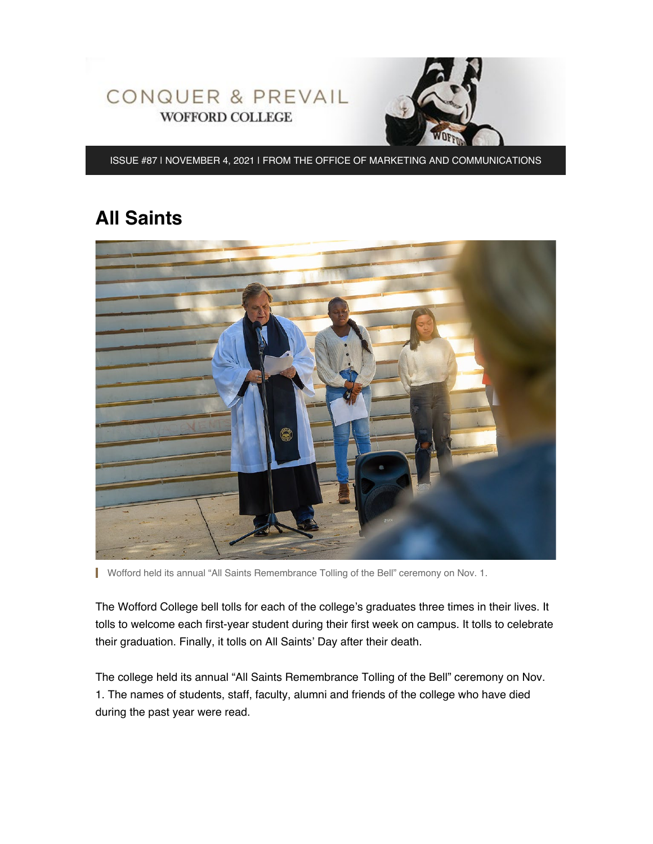

ISSUE #87 | NOVEMBER 4, 2021 | FROM THE OFFICE OF MARKETING AND COMMUNICATIONS

# **All Saints**



Wofford held its annual "All Saints Remembrance Tolling of the Bell" ceremony on Nov. 1.

The Wofford College bell tolls for each of the college's graduates three times in their lives. It tolls to welcome each first-year student during their first week on campus. It tolls to celebrate their graduation. Finally, it tolls on All Saints' Day after their death.

The college held its annual "All Saints Remembrance Tolling of the Bell" ceremony on Nov. 1. The names of students, staff, faculty, alumni and friends of the college who have died during the past year were read.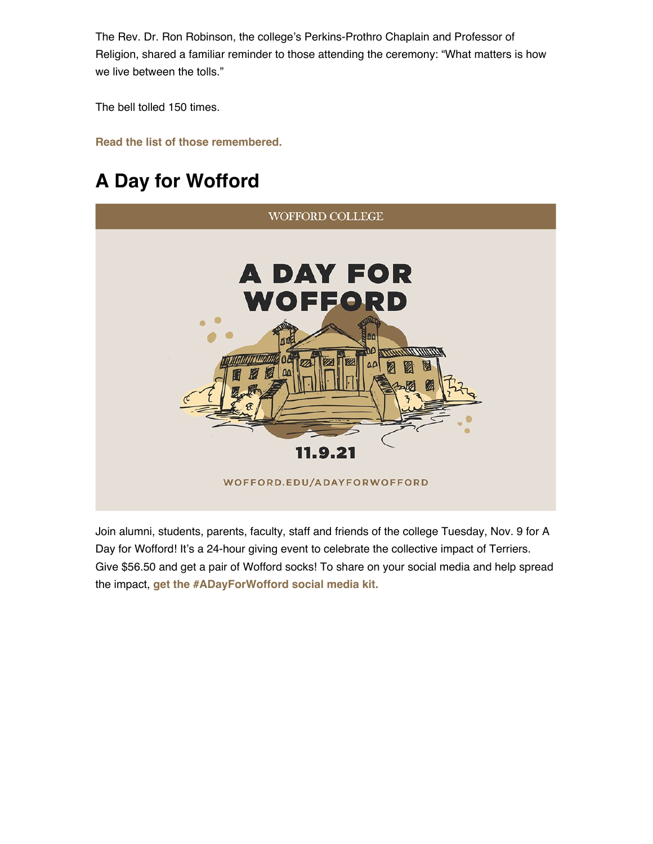The Rev. Dr. Ron Robinson, the college's Perkins-Prothro Chaplain and Professor of Religion, shared a familiar reminder to those attending the ceremony: "What matters is how we live between the tolls."

The bell tolled 150 times.

**[Read the list of those remembered.](https://www.wofford.edu/about/news/news-archives/2021/all-saints)**

# **A Day for Wofford**



Join alumni, students, parents, faculty, staff and friends of the college Tuesday, Nov. 9 for A Day for Wofford! It's a 24-hour giving event to celebrate the collective impact of Terriers. Give \$56.50 and get a pair of Wofford socks! To share on your social media and help spread the impact, **[get the #ADayForWofford social media kit.](https://advance.wofford.edu/portal/adayforwofford2021)**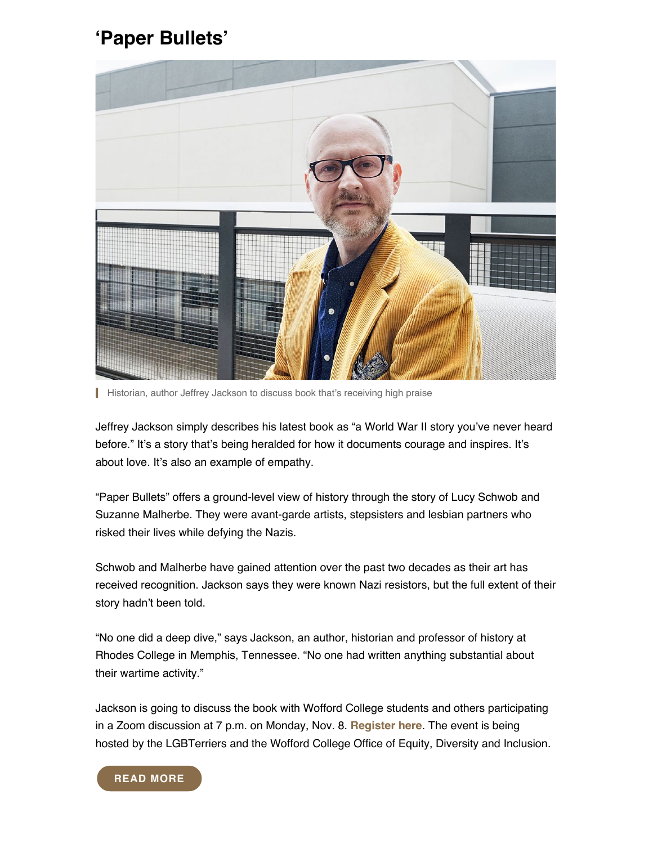### **'Paper Bullets'**



**Historian, author Jeffrey Jackson to discuss book that's receiving high praise** 

Jeffrey Jackson simply describes his latest book as "a World War II story you've never heard before." It's a story that's being heralded for how it documents courage and inspires. It's about love. It's also an example of empathy.

"Paper Bullets" offers a ground-level view of history through the story of Lucy Schwob and Suzanne Malherbe. They were avant-garde artists, stepsisters and lesbian partners who risked their lives while defying the Nazis.

Schwob and Malherbe have gained attention over the past two decades as their art has received recognition. Jackson says they were known Nazi resistors, but the full extent of their story hadn't been told.

"No one did a deep dive," says Jackson, an author, historian and professor of history at Rhodes College in Memphis, Tennessee. "No one had written anything substantial about their wartime activity."

Jackson is going to discuss the book with Wofford College students and others participating in a Zoom discussion at 7 p.m. on Monday, Nov. 8. **[Register here](https://wofford.zoom.us/webinar/register/WN_DvdAqQPHQluldKjGEHzGNQ)**. The event is being hosted by the LGBTerriers and the Wofford College Office of Equity, Diversity and Inclusion.

#### **[READ MORE](https://www.wofford.edu/about/news/news-archives/2021/paper-bullets)**